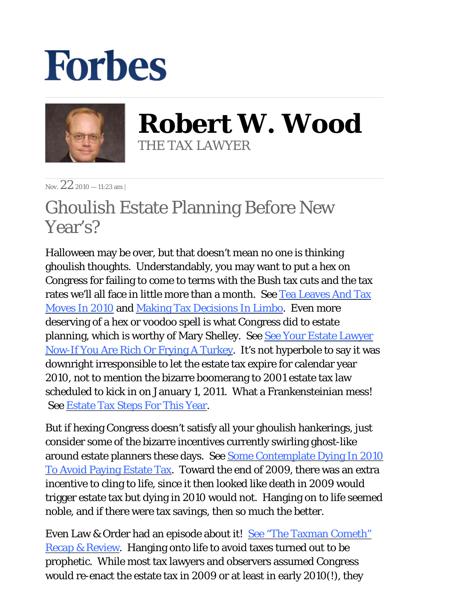## **Forbes**



**Robert W. Wood** THE TAX LAWYER

Nov.  $22_{2010 - 11:23 \text{ am}}$ 

## Ghoulish Estate Planning Before New Year's?

Halloween may be over, but that doesn't mean no one is thinking ghoulish thoughts. Understandably, you may want to put a hex on Congress for failing to come to terms with the Bush tax cuts and the tax rates we'll all face in little more than a month. See Tea Leaves And Tax [Moves In 2010](http://blogs.forbes.com/robertwood/2010/09/15/tea-leaves-and-tax-moves-in-2010/) and [Making Tax Decisions In Limbo.](http://www.forbes.com/2010/09/08/expiring-tax-cuts-planning-capital-gains-personal-finance-robert-wood.html) Even more deserving of a hex or voodoo spell is what Congress did to estate planning, which is worthy of Mary Shelley. See [See Your Estate Lawyer](http://blogs.forbes.com/janetnovack/2010/11/22/see-your-estate-lawyer-now-if-you-are-rich-or-frying-a-turkey/)  [Now-If You Are Rich Or Frying A Turkey.](http://blogs.forbes.com/janetnovack/2010/11/22/see-your-estate-lawyer-now-if-you-are-rich-or-frying-a-turkey/) It's not hyperbole to say it was downright irresponsible to let the estate tax expire for calendar year 2010, not to mention the bizarre boomerang to 2001 estate tax law scheduled to kick in on January 1, 2011. What a Frankensteinian mess! See [Estate Tax Steps For This Year.](http://blogs.forbes.com/robertwood/2010/11/09/estate-tax-steps-for-this-year/)

But if hexing Congress doesn't satisfy all your ghoulish hankerings, just consider some of the bizarre incentives currently swirling ghost-like around estate planners these days. See [Some Contemplate Dying In 2010](http://blogs.forbes.com/hanisarji/2010/11/03/some-contemplate-dying-in-2010-to-avoid-paying-estate-tax-2011/) [To Avoid Paying Estate Tax.](http://blogs.forbes.com/hanisarji/2010/11/03/some-contemplate-dying-in-2010-to-avoid-paying-estate-tax-2011/) Toward the end of 2009, there was an extra incentive to cling to life, since it then looked like death in 2009 would trigger estate tax but dying in 2010 would not. Hanging on to life seemed noble, and if there were tax savings, then so much the better.

Even Law & Order had an episode about it! See "The Taxman Cometh" [Recap & Review.](http://allthingslawandorder.blogspot.com/2010/05/law-order-taxman-cometh-recap-review.html) Hanging onto life to avoid taxes turned out to be prophetic. While most tax lawyers and observers assumed Congress would re-enact the estate tax in 2009 or at least in early 2010(!), they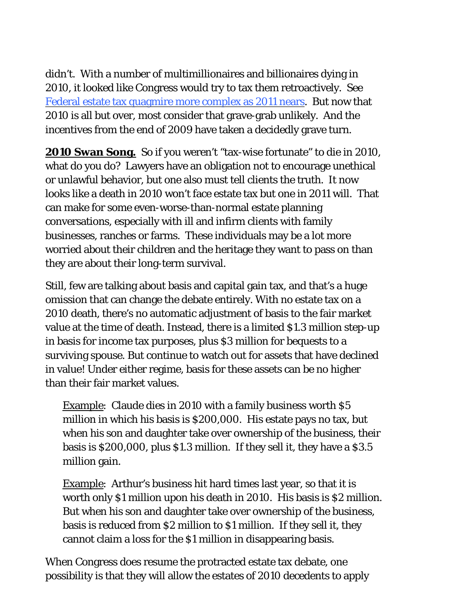didn't. With a number of multimillionaires and billionaires dying in 2010, it looked like Congress would try to tax them retroactively. See [Federal estate tax quagmire more complex as 2011 nears](http://wislawjournal.com/blog/2010/08/16/federal-estate-tax-quagmire-more-complex-as-2011-nears/). But now that 2010 is all but over, most consider that grave-grab unlikely. And the incentives from the end of 2009 have taken a decidedly grave turn.

**2010 Swan Song***.* So if you weren't "tax-wise fortunate" to die in 2010, what do you do? Lawyers have an obligation not to encourage unethical or unlawful behavior, but one also must tell clients the truth. It now looks like a death in 2010 won't face estate tax but one in 2011 will. That can make for some even-worse-than-normal estate planning conversations, especially with ill and infirm clients with family businesses, ranches or farms. These individuals may be a lot more worried about their children and the heritage they want to pass on than they are about their long-term survival.

Still, few are talking about basis and capital gain tax, and that's a huge omission that can change the debate entirely. With no estate tax on a 2010 death, there's no automatic adjustment of basis to the fair market value at the time of death. Instead, there is a limited \$1.3 million step-up in basis for income tax purposes, plus \$3 million for bequests to a surviving spouse. But continue to watch out for assets that have declined in value! Under either regime, basis for these assets can be no higher than their fair market values.

Example: Claude dies in 2010 with a family business worth \$5 million in which his basis is \$200,000. His estate pays no tax, but when his son and daughter take over ownership of the business, their basis is \$200,000, plus \$1.3 million. If they sell it, they have a \$3.5 million gain.

Example: Arthur's business hit hard times last year, so that it is worth only \$1 million upon his death in 2010. His basis is \$2 million. But when his son and daughter take over ownership of the business, basis is reduced from \$2 million to \$1 million. If they sell it, they cannot claim a loss for the \$1 million in disappearing basis.

When Congress does resume the protracted estate tax debate, one possibility is that they will allow the estates of 2010 decedents to apply